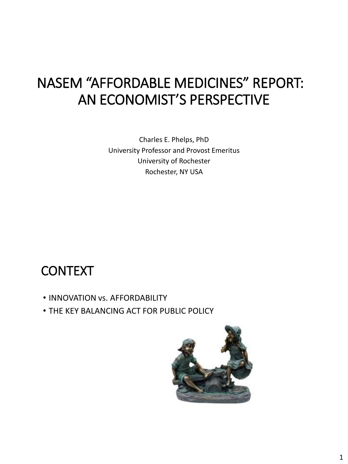# NASEM "AFFORDABLE MEDICINES" REPORT: AN ECONOMIST'S PERSPECTIVE

Charles E. Phelps, PhD University Professor and Provost Emeritus University of Rochester Rochester, NY USA

#### **CONTEXT**

- INNOVATION vs. AFFORDABILITY
- THE KEY BALANCING ACT FOR PUBLIC POLICY

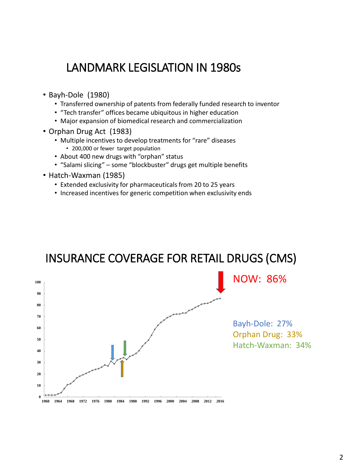#### LANDMARK LEGISLATION IN 1980s

- Bayh-Dole (1980)
	- Transferred ownership of patents from federally funded research to inventor
	- "Tech transfer" offices became ubiquitous in higher education
	- Major expansion of biomedical research and commercialization
- Orphan Drug Act (1983)
	- Multiple incentives to develop treatments for "rare" diseases
		- 200,000 or fewer target population
	- About 400 new drugs with "orphan" status
	- "Salami slicing" some "blockbuster" drugs get multiple benefits
- Hatch-Waxman (1985)
	- Extended exclusivity for pharmaceuticals from 20 to 25 years
	- Increased incentives for generic competition when exclusivity ends



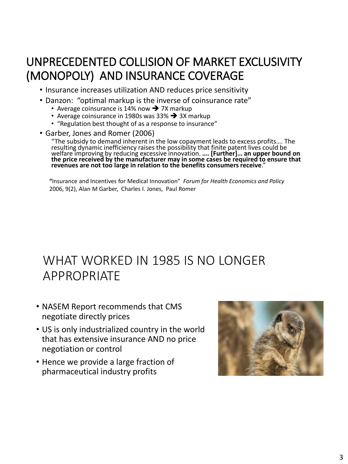#### UNPRECEDENTED COLLISION OF MARKET EXCLUSIVITY (MONOPOLY) AND INSURANCE COVERAGE

- Insurance increases utilization AND reduces price sensitivity
- Danzon: "optimal markup is the inverse of coinsurance rate"
	- Average coinsurance is 14% now  $\rightarrow$  7X markup
	- Average coinsurance in 1980s was 33%  $\rightarrow$  3X markup
	- "Regulation best thought of as a response to insurance"
- Garber, Jones and Romer (2006)

"The subsidy to demand inherent in the low copayment leads to excess profits…. The resulting dynamic inefficiency raises the possibility that finite patent lives could be welfare improving by reducing excessive innovation. **…. [Further]… an upper bound on the price received by the manufacturer may in some cases be required to ensure that revenues are not too large in relation to the benefits consumers receive**."

**"**Insurance and Incentives for Medical Innovation" *Forum for Health Economics and Policy* 2006, 9(2), Alan M Garber, Charles I. Jones, Paul Romer

### WHAT WORKED IN 1985 IS NO LONGER APPROPRIATE

- NASEM Report recommends that CMS negotiate directly prices
- US is only industrialized country in the world that has extensive insurance AND no price negotiation or control
- Hence we provide a large fraction of pharmaceutical industry profits

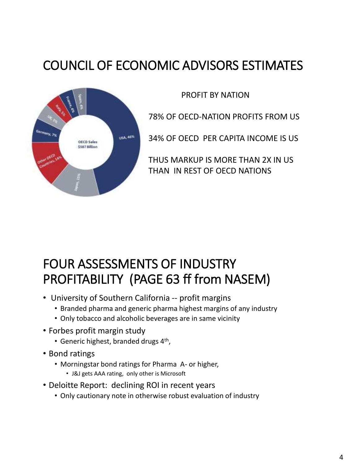## COUNCIL OF ECONOMIC ADVISORS ESTIMATES



PROFIT BY NATION

78% OF OECD-NATION PROFITS FROM US

34% OF OECD PER CAPITA INCOME IS US

THUS MARKUP IS MORE THAN 2X IN US THAN IN REST OF OECD NATIONS

### FOUR ASSESSMENTS OF INDUSTRY PROFITABILITY (PAGE 63 ff from NASEM)

- University of Southern California -- profit margins
	- Branded pharma and generic pharma highest margins of any industry
	- Only tobacco and alcoholic beverages are in same vicinity
- Forbes profit margin study
	- Generic highest, branded drugs 4<sup>th</sup>,
- Bond ratings
	- Morningstar bond ratings for Pharma A- or higher,
		- J&J gets AAA rating, only other is Microsoft
- Deloitte Report: declining ROI in recent years
	- Only cautionary note in otherwise robust evaluation of industry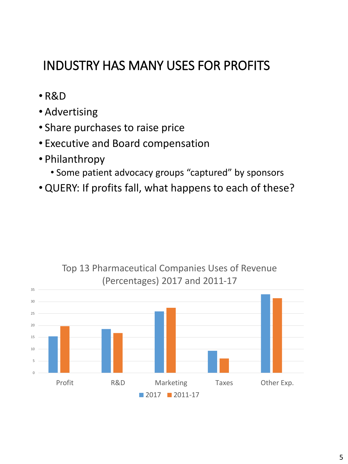## INDUSTRY HAS MANY USES FOR PROFITS

- R&D
- Advertising
- Share purchases to raise price
- Executive and Board compensation
- Philanthropy
	- Some patient advocacy groups "captured" by sponsors
- •QUERY: If profits fall, what happens to each of these?



Top 13 Pharmaceutical Companies Uses of Revenue (Percentages) 2017 and 2011-17